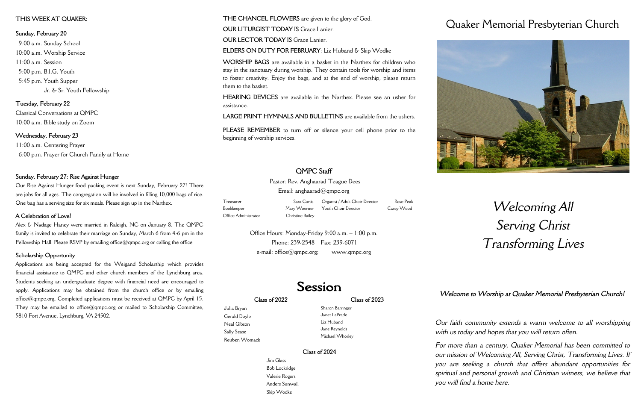### **Class of 2022**

Julia Bryan Gerald Doyle Neal Gibson Sally Sease Reuben Womack **Class of 2023**

Sharon Barringer Janet LaPrade Liz Huband Jane Reynolds Michael Whorley

**Class of 2024**

Jim Glass Bob Lockridge Valerie Rogers Anders Sunwall Skip Wodke

## Quaker Memorial Presbyterian Church



# *Welcoming All Serving Christ Transforming Lives*

*Our faith community extends a warm welcome to all worshipping with us today and hopes that you will return often.*

*For more than a century, Quaker Memorial has been committed to our mission of Welcoming All, Serving Christ, Transforming Lives. If you are seeking a church that offers abundant opportunities for spiritual and personal growth and Christian witness, we believe that you will find a home here.* 



Pastor: Rev. Anghaarad Teague Dees Email: anghaarad $@$ qmpc.org

Office Hours: Monday-Friday 9:00 a.m. – 1:00 p.m. Phone: 239-2548 Fax: 239-6071  $e$ -mail: office $@$  qmpc.org; www.qmpc.org

## Session

**THE CHANCEL FLOWERS** are given to the glory of God.

**OUR LITURGIST TODAY IS Grace Lanier.** 

**OUR LECTOR TODAY IS Grace Lanier.** 

**ELDERS ON DUTY FOR FEBRUARY**: Liz Huband & Skip Wodke

**WORSHIP BAGS** are available in a basket in the Narthex for children who stay in the sanctuary during worship. They contain tools for worship and items to foster creativity. Enjoy the bags, and at the end of worship, please return them to the basket.

**HEARING DEVICES** are available in the Narthex. Please see an usher for assistance.

Alex & Nadage Haney were married in Raleigh, NC on January 8. The QMPC family is invited to celebrate their marriage on Sunday, March 6 from 4-6 pm in the Fellowship Hall. Please RSVP by emailing office@qmpc.org or calling the office

**LARGE PRINT HYMNALS AND BULLETINS** are available from the ushers.

**PLEASE REMEMBER** to turn off or silence your cell phone prior to the beginning of worship services.

## **QMPC Staff**

| Treasurer            | Sara Curtis      | Organist / Adult Choir Director   | Rose Peak  |  |
|----------------------|------------------|-----------------------------------|------------|--|
| Bookkeeper           |                  | Mary Woerner Youth Choir Director | Casey Wood |  |
| Office Administrator | Christine Bailey |                                   |            |  |

## **THIS WEEK AT QUAKER:**

**Sunday, February 20** 9:00 a.m. Sunday School 10:00 a.m. Worship Service 11:00 a.m. Session 5:00 p.m. B.I.G. Youth 5:45 p.m. Youth Supper Jr. & Sr. Youth Fellowship

**Tuesday, February 22** Classical Conversations at QMPC 10:00 a.m. Bible study on Zoom

**Wednesday, February 23** 11:00 a.m. Centering Prayer 6:00 p.m. Prayer for Church Family at Home

## **Sunday, February 27: Rise Against Hunger**

Our Rise Against Hunger food packing event is next Sunday, February 27! There are jobs for all ages. The congregation will be involved in filling 10,000 bags of rice. One bag has a serving size for six meals. Please sign up in the Narthex.

## **A Celebration of Love!**

### **Scholarship Opportunity**

Applications are being accepted for the Weigand Scholarship which provides financial assistance to QMPC and other church members of the Lynchburg area. Students seeking an undergraduate degree with financial need are encouraged to apply. Applications may be obtained from the church office or by emailing office@qmpc.org. Completed applications must be received at QMPC by April 15. They may be emailed to office@qmpc.org or mailed to Scholarship Committee, 5810 Fort Avenue, Lynchburg, VA 24502.

*Welcome to Worship at Quaker Memorial Presbyterian Church!*